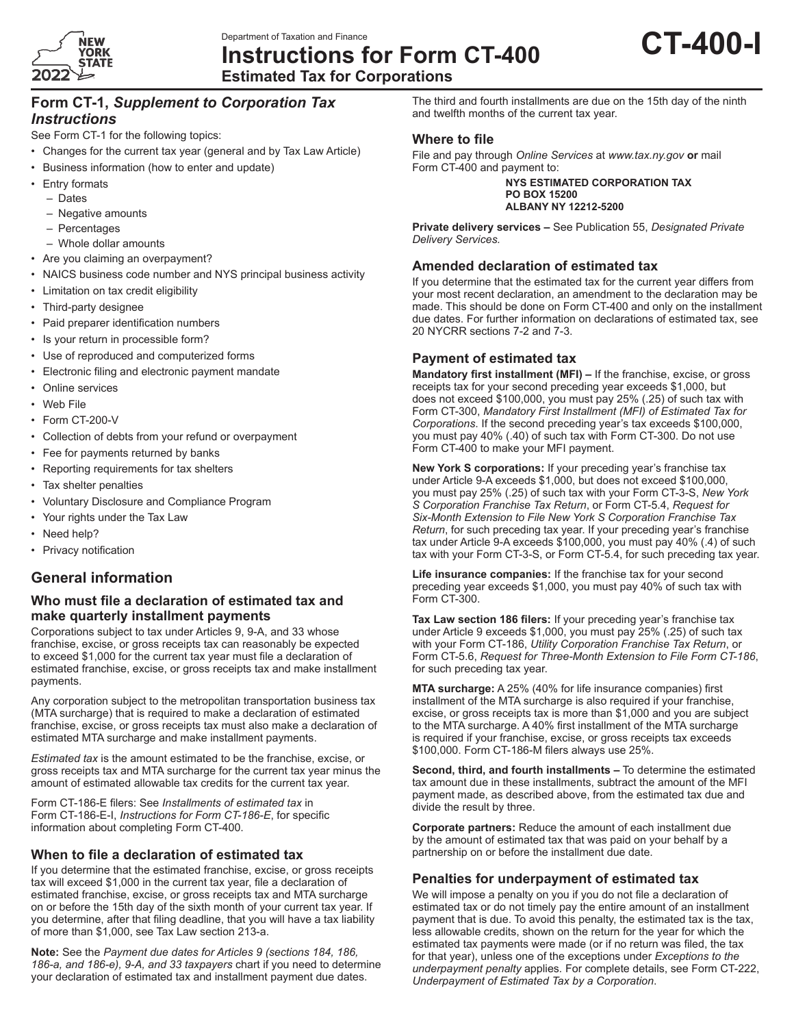

**Instructions for Form CT-400**



**Estimated Tax for Corporations**

# **Form CT-1,** *Supplement to Corporation Tax Instructions*

See Form CT-1 for the following topics:

- Changes for the current tax year (general and by Tax Law Article)
- Business information (how to enter and update)
- Entry formats
	- Dates
	- Negative amounts
	- Percentages
	- Whole dollar amounts
- Are you claiming an overpayment?
- NAICS business code number and NYS principal business activity
- Limitation on tax credit eligibility
- Third-party designee
- Paid preparer identification numbers
- Is your return in processible form?
- Use of reproduced and computerized forms
- Electronic filing and electronic payment mandate
- Online services
- Web File
- Form CT-200-V
- Collection of debts from your refund or overpayment
- Fee for payments returned by banks
- Reporting requirements for tax shelters
- Tax shelter penalties
- Voluntary Disclosure and Compliance Program
- Your rights under the Tax Law
- Need help?
- Privacy notification

# **General information**

#### **Who must file a declaration of estimated tax and make quarterly installment payments**

Corporations subject to tax under Articles 9, 9-A, and 33 whose franchise, excise, or gross receipts tax can reasonably be expected to exceed \$1,000 for the current tax year must file a declaration of estimated franchise, excise, or gross receipts tax and make installment payments.

Any corporation subject to the metropolitan transportation business tax (MTA surcharge) that is required to make a declaration of estimated franchise, excise, or gross receipts tax must also make a declaration of estimated MTA surcharge and make installment payments.

*Estimated tax* is the amount estimated to be the franchise, excise, or gross receipts tax and MTA surcharge for the current tax year minus the amount of estimated allowable tax credits for the current tax year.

Form CT-186-E filers: See *Installments of estimated tax* in Form CT-186-E-I, *Instructions for Form CT-186-E*, for specific information about completing Form CT-400.

# **When to file a declaration of estimated tax**

If you determine that the estimated franchise, excise, or gross receipts tax will exceed \$1,000 in the current tax year, file a declaration of estimated franchise, excise, or gross receipts tax and MTA surcharge on or before the 15th day of the sixth month of your current tax year. If you determine, after that filing deadline, that you will have a tax liability of more than \$1,000, see Tax Law section 213-a.

**Note:** See the *Payment due dates for Articles 9 (sections 184, 186, 186-a, and 186-e), 9-A, and 33 taxpayers* chart if you need to determine your declaration of estimated tax and installment payment due dates.

The third and fourth installments are due on the 15th day of the ninth and twelfth months of the current tax year.

# **Where to file**

File and pay through *Online Services* at *www.tax.ny.gov* **or** mail Form CT-400 and payment to:

> **NYS ESTIMATED CORPORATION TAX PO BOX 15200 ALBANY NY 12212-5200**

**Private delivery services –** See Publication 55, *Designated Private Delivery Services.*

## **Amended declaration of estimated tax**

If you determine that the estimated tax for the current year differs from your most recent declaration, an amendment to the declaration may be made. This should be done on Form CT-400 and only on the installment due dates. For further information on declarations of estimated tax, see 20 NYCRR sections 7-2 and 7-3.

## **Payment of estimated tax**

**Mandatory first installment (MFI) –** If the franchise, excise, or gross receipts tax for your second preceding year exceeds \$1,000, but does not exceed \$100,000, you must pay 25% (.25) of such tax with Form CT-300, *Mandatory First Installment (MFI) of Estimated Tax for Corporations*. If the second preceding year's tax exceeds \$100,000, you must pay 40% (.40) of such tax with Form CT-300. Do not use Form CT-400 to make your MFI payment.

**New York S corporations:** If your preceding year's franchise tax under Article 9-A exceeds \$1,000, but does not exceed \$100,000, you must pay 25% (.25) of such tax with your Form CT-3-S, *New York S Corporation Franchise Tax Return*, or Form CT-5.4, *Request for Six-Month Extension to File New York S Corporation Franchise Tax Return*, for such preceding tax year. If your preceding year's franchise tax under Article 9-A exceeds \$100,000, you must pay 40% (.4) of such tax with your Form CT-3-S, or Form CT-5.4, for such preceding tax year.

**Life insurance companies:** If the franchise tax for your second preceding year exceeds \$1,000, you must pay 40% of such tax with Form CT-300.

**Tax Law section 186 filers:** If your preceding year's franchise tax under Article 9 exceeds \$1,000, you must pay 25% (.25) of such tax with your Form CT-186, *Utility Corporation Franchise Tax Return*, or Form CT-5.6, *Request for Three-Month Extension to File Form CT-186*, for such preceding tax year.

**MTA surcharge:** A 25% (40% for life insurance companies) first installment of the MTA surcharge is also required if your franchise, excise, or gross receipts tax is more than \$1,000 and you are subject to the MTA surcharge. A 40% first installment of the MTA surcharge is required if your franchise, excise, or gross receipts tax exceeds \$100,000. Form CT-186-M filers always use 25%.

**Second, third, and fourth installments –** To determine the estimated tax amount due in these installments, subtract the amount of the MFI payment made, as described above, from the estimated tax due and divide the result by three.

**Corporate partners:** Reduce the amount of each installment due by the amount of estimated tax that was paid on your behalf by a partnership on or before the installment due date.

#### **Penalties for underpayment of estimated tax**

We will impose a penalty on you if you do not file a declaration of estimated tax or do not timely pay the entire amount of an installment payment that is due. To avoid this penalty, the estimated tax is the tax, less allowable credits, shown on the return for the year for which the estimated tax payments were made (or if no return was filed, the tax for that year), unless one of the exceptions under *Exceptions to the underpayment penalty* applies*.* For complete details, see Form CT-222, *Underpayment of Estimated Tax by a Corporation*.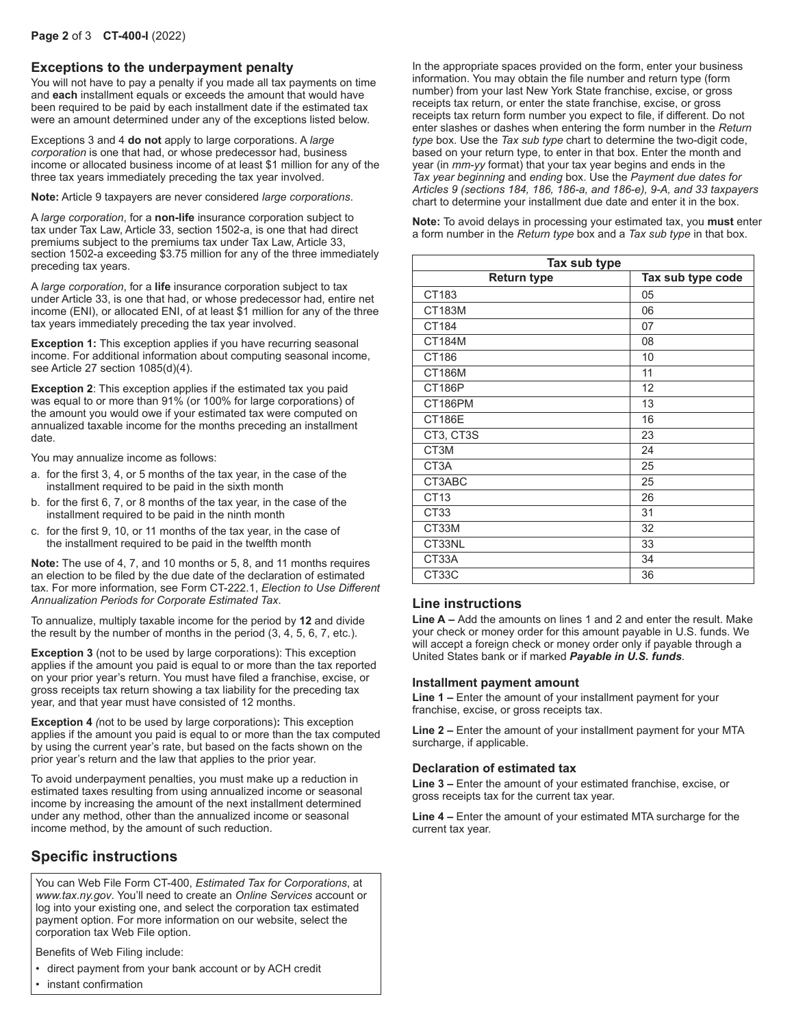### **Exceptions to the underpayment penalty**

You will not have to pay a penalty if you made all tax payments on time and **each** installment equals or exceeds the amount that would have been required to be paid by each installment date if the estimated tax were an amount determined under any of the exceptions listed below.

Exceptions 3 and 4 **do not** apply to large corporations. A *large corporation* is one that had, or whose predecessor had, business income or allocated business income of at least \$1 million for any of the three tax years immediately preceding the tax year involved.

**Note:** Article 9 taxpayers are never considered *large corporations*.

A *large corporation*, for a **non-life** insurance corporation subject to tax under Tax Law, Article 33, section 1502-a, is one that had direct premiums subject to the premiums tax under Tax Law, Article 33, section 1502-a exceeding \$3.75 million for any of the three immediately preceding tax years.

A *large corporation*, for a **life** insurance corporation subject to tax under Article 33, is one that had, or whose predecessor had, entire net income (ENI), or allocated ENI, of at least \$1 million for any of the three tax years immediately preceding the tax year involved.

**Exception 1:** This exception applies if you have recurring seasonal income. For additional information about computing seasonal income, see Article 27 section 1085(d)(4).

**Exception 2**: This exception applies if the estimated tax you paid was equal to or more than 91% (or 100% for large corporations) of the amount you would owe if your estimated tax were computed on annualized taxable income for the months preceding an installment date.

You may annualize income as follows:

- a. for the first 3, 4, or 5 months of the tax year, in the case of the installment required to be paid in the sixth month
- b. for the first 6, 7, or 8 months of the tax year, in the case of the installment required to be paid in the ninth month
- c. for the first 9, 10, or 11 months of the tax year, in the case of the installment required to be paid in the twelfth month

**Note:** The use of 4, 7, and 10 months or 5, 8, and 11 months requires an election to be filed by the due date of the declaration of estimated tax. For more information, see Form CT-222.1, *Election to Use Different Annualization Periods for Corporate Estimated Tax*.

To annualize, multiply taxable income for the period by **12** and divide the result by the number of months in the period (3, 4, 5, 6, 7, etc.).

**Exception 3** (not to be used by large corporations): This exception applies if the amount you paid is equal to or more than the tax reported on your prior year's return. You must have filed a franchise, excise, or gross receipts tax return showing a tax liability for the preceding tax year, and that year must have consisted of 12 months.

**Exception 4** *(*not to be used by large corporations)**:** This exception applies if the amount you paid is equal to or more than the tax computed by using the current year's rate, but based on the facts shown on the prior year's return and the law that applies to the prior year.

To avoid underpayment penalties, you must make up a reduction in estimated taxes resulting from using annualized income or seasonal income by increasing the amount of the next installment determined under any method, other than the annualized income or seasonal income method, by the amount of such reduction.

# **Specific instructions**

You can Web File Form CT-400, *Estimated Tax for Corporations*, at *www.tax.ny.gov*. You'll need to create an *Online Services* account or log into your existing one, and select the corporation tax estimated payment option. For more information on our website, select the corporation tax Web File option.

Benefits of Web Filing include:

• direct payment from your bank account or by ACH credit

• instant confirmation

In the appropriate spaces provided on the form, enter your business information. You may obtain the file number and return type (form number) from your last New York State franchise, excise, or gross receipts tax return, or enter the state franchise, excise, or gross receipts tax return form number you expect to file, if different. Do not enter slashes or dashes when entering the form number in the *Return type* box. Use the *Tax sub type* chart to determine the two-digit code, based on your return type, to enter in that box. Enter the month and year (in *mm-yy* format) that your tax year begins and ends in the *Tax year beginning* and *ending* box. Use the *Payment due dates for Articles 9 (sections 184, 186, 186-a, and 186-e), 9-A, and 33 taxpayers* chart to determine your installment due date and enter it in the box.

**Note:** To avoid delays in processing your estimated tax, you **must** enter a form number in the *Return type* box and a *Tax sub type* in that box.

| Tax sub type       |                   |  |  |  |
|--------------------|-------------------|--|--|--|
| <b>Return type</b> | Tax sub type code |  |  |  |
| CT183              | 05                |  |  |  |
| CT183M             | 06                |  |  |  |
| CT184              | 07                |  |  |  |
| CT184M             | 08                |  |  |  |
| CT186              | 10                |  |  |  |
| CT186M             | 11                |  |  |  |
| <b>CT186P</b>      | 12                |  |  |  |
| CT186PM            | 13                |  |  |  |
| <b>CT186E</b>      | 16                |  |  |  |
| CT3, CT3S          | 23                |  |  |  |
| CT3M               | 24                |  |  |  |
| CT <sub>3</sub> A  | 25                |  |  |  |
| CT3ABC             | 25                |  |  |  |
| CT13               | 26                |  |  |  |
| CT <sub>33</sub>   | 31                |  |  |  |
| CT33M              | 32                |  |  |  |
| CT33NL             | 33                |  |  |  |
| CT33A              | 34                |  |  |  |
| CT33C              | 36                |  |  |  |

#### **Line instructions**

**Line A –** Add the amounts on lines 1 and 2 and enter the result. Make your check or money order for this amount payable in U.S. funds. We will accept a foreign check or money order only if payable through a United States bank or if marked *Payable in U.S. funds*.

#### **Installment payment amount**

**Line 1 –** Enter the amount of your installment payment for your franchise, excise, or gross receipts tax.

**Line 2 –** Enter the amount of your installment payment for your MTA surcharge, if applicable.

#### **Declaration of estimated tax**

**Line 3 –** Enter the amount of your estimated franchise, excise, or gross receipts tax for the current tax year.

**Line 4 –** Enter the amount of your estimated MTA surcharge for the current tax year.